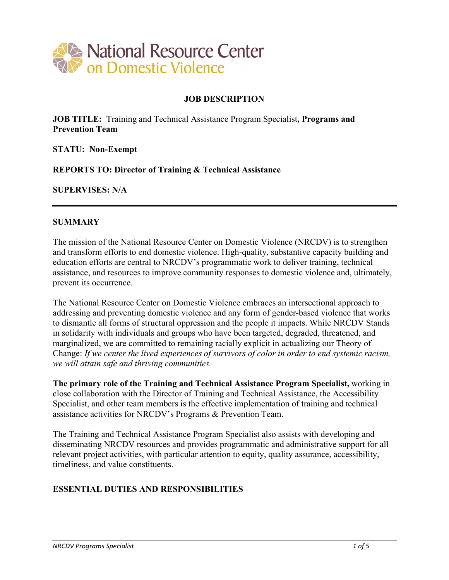

#### **JOB DESCRIPTION**

**JOB TITLE:** Training and Technical Assistance Program Specialist**, Programs and Prevention Team**

**STATU: Non-Exempt**

**REPORTS TO: Director of Training & Technical Assistance**

**SUPERVISES: N/A**

#### **SUMMARY**

The mission of the National Resource Center on Domestic Violence (NRCDV) is to strengthen and transform efforts to end domestic violence. High-quality, substantive capacity building and education efforts are central to NRCDV's programmatic work to deliver training, technical assistance, and resources to improve community responses to domestic violence and, ultimately, prevent its occurrence.

The National Resource Center on Domestic Violence embraces an intersectional approach to addressing and preventing domestic violence and any form of gender-based violence that works to dismantle all forms of structural oppression and the people it impacts. While NRCDV Stands in solidarity with individuals and groups who have been targeted, degraded, threatened, and marginalized, we are committed to remaining racially explicit in actualizing our Theory of Change: *If we center the lived experiences of survivors of color in order to end systemic racism, we will attain safe and thriving communities.*

**The primary role of the Training and Technical Assistance Program Specialist,** working in close collaboration with the Director of Training and Technical Assistance, the Accessibility Specialist, and other team members is the effective implementation of training and technical assistance activities for NRCDV's Programs & Prevention Team.

The Training and Technical Assistance Program Specialist also assists with developing and disseminating NRCDV resources and provides programmatic and administrative support for all relevant project activities, with particular attention to equity, quality assurance, accessibility, timeliness, and value constituents.

### **ESSENTIAL DUTIES AND RESPONSIBILITIES**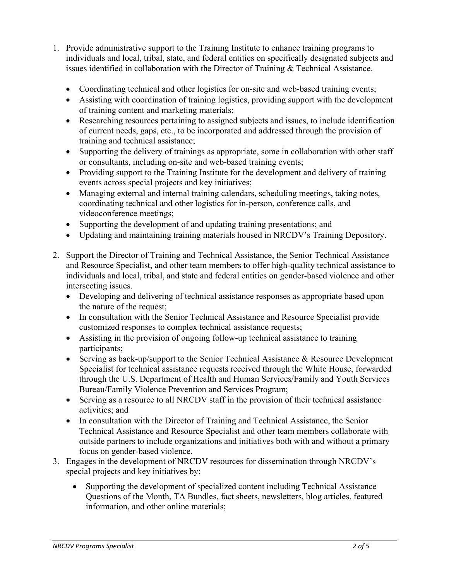- 1. Provide administrative support to the Training Institute to enhance training programs to individuals and local, tribal, state, and federal entities on specifically designated subjects and issues identified in collaboration with the Director of Training & Technical Assistance.
	- Coordinating technical and other logistics for on-site and web-based training events;
	- Assisting with coordination of training logistics, providing support with the development of training content and marketing materials;
	- Researching resources pertaining to assigned subjects and issues, to include identification of current needs, gaps, etc., to be incorporated and addressed through the provision of training and technical assistance;
	- Supporting the delivery of trainings as appropriate, some in collaboration with other staff or consultants, including on-site and web-based training events;
	- Providing support to the Training Institute for the development and delivery of training events across special projects and key initiatives;
	- Managing external and internal training calendars, scheduling meetings, taking notes, coordinating technical and other logistics for in-person, conference calls, and videoconference meetings;
	- Supporting the development of and updating training presentations; and
	- Updating and maintaining training materials housed in NRCDV's Training Depository.
- 2. Support the Director of Training and Technical Assistance, the Senior Technical Assistance and Resource Specialist, and other team members to offer high-quality technical assistance to individuals and local, tribal, and state and federal entities on gender-based violence and other intersecting issues.
	- Developing and delivering of technical assistance responses as appropriate based upon the nature of the request;
	- In consultation with the Senior Technical Assistance and Resource Specialist provide customized responses to complex technical assistance requests;
	- Assisting in the provision of ongoing follow-up technical assistance to training participants;
	- Serving as back-up/support to the Senior Technical Assistance & Resource Development Specialist for technical assistance requests received through the White House, forwarded through the U.S. Department of Health and Human Services/Family and Youth Services Bureau/Family Violence Prevention and Services Program;
	- Serving as a resource to all NRCDV staff in the provision of their technical assistance activities; and
	- In consultation with the Director of Training and Technical Assistance, the Senior Technical Assistance and Resource Specialist and other team members collaborate with outside partners to include organizations and initiatives both with and without a primary focus on gender-based violence.
- 3. Engages in the development of NRCDV resources for dissemination through NRCDV's special projects and key initiatives by:
	- Supporting the development of specialized content including Technical Assistance Questions of the Month, TA Bundles, fact sheets, newsletters, blog articles, featured information, and other online materials;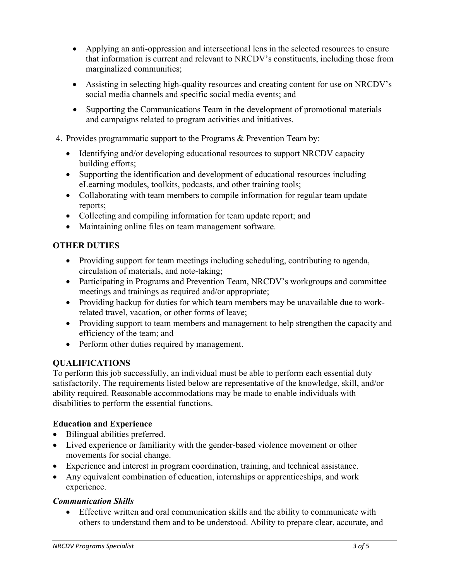- Applying an anti-oppression and intersectional lens in the selected resources to ensure that information is current and relevant to NRCDV's constituents, including those from marginalized communities;
- Assisting in selecting high-quality resources and creating content for use on NRCDV's social media channels and specific social media events; and
- Supporting the Communications Team in the development of promotional materials and campaigns related to program activities and initiatives.
- 4. Provides programmatic support to the Programs & Prevention Team by:
	- Identifying and/or developing educational resources to support NRCDV capacity building efforts;
	- Supporting the identification and development of educational resources including eLearning modules, toolkits, podcasts, and other training tools;
	- Collaborating with team members to compile information for regular team update reports;
	- Collecting and compiling information for team update report; and
	- Maintaining online files on team management software.

### **OTHER DUTIES**

- Providing support for team meetings including scheduling, contributing to agenda, circulation of materials, and note-taking;
- Participating in Programs and Prevention Team, NRCDV's workgroups and committee meetings and trainings as required and/or appropriate;
- Providing backup for duties for which team members may be unavailable due to workrelated travel, vacation, or other forms of leave;
- Providing support to team members and management to help strengthen the capacity and efficiency of the team; and
- Perform other duties required by management.

### **QUALIFICATIONS**

To perform this job successfully, an individual must be able to perform each essential duty satisfactorily. The requirements listed below are representative of the knowledge, skill, and/or ability required. Reasonable accommodations may be made to enable individuals with disabilities to perform the essential functions.

#### **Education and Experience**

- Bilingual abilities preferred.
- Lived experience or familiarity with the gender-based violence movement or other movements for social change.
- Experience and interest in program coordination, training, and technical assistance.
- Any equivalent combination of education, internships or apprenticeships, and work experience.

#### *Communication Skills*

• Effective written and oral communication skills and the ability to communicate with others to understand them and to be understood. Ability to prepare clear, accurate, and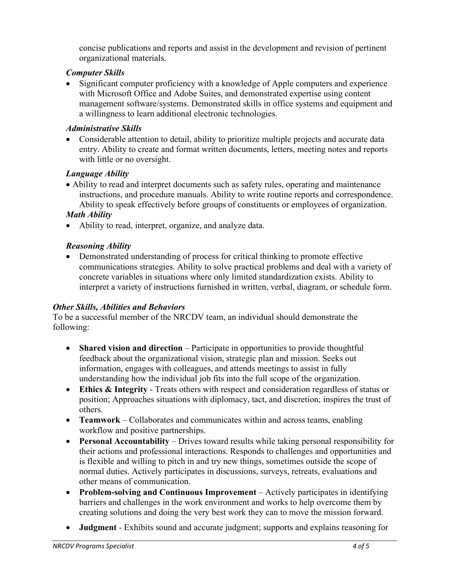concise publications and reports and assist in the development and revision of pertinent organizational materials.

### *Computer Skills*

• Significant computer proficiency with a knowledge of Apple computers and experience with Microsoft Office and Adobe Suites, and demonstrated expertise using content management software/systems. Demonstrated skills in office systems and equipment and a willingness to learn additional electronic technologies.

### *Administrative Skills*

• Considerable attention to detail, ability to prioritize multiple projects and accurate data entry. Ability to create and format written documents, letters, meeting notes and reports with little or no oversight.

## *Language Ability*

- Ability to read and interpret documents such as safety rules, operating and maintenance instructions, and procedure manuals. Ability to write routine reports and correspondence. Ability to speak effectively before groups of constituents or employees of organization. *Math Ability*
- Ability to read, interpret, organize, and analyze data.

# *Reasoning Ability*

• Demonstrated understanding of process for critical thinking to promote effective communications strategies. Ability to solve practical problems and deal with a variety of concrete variables in situations where only limited standardization exists. Ability to interpret a variety of instructions furnished in written, verbal, diagram, or schedule form.

### *Other Skills, Abilities and Behaviors*

To be a successful member of the NRCDV team, an individual should demonstrate the following:

- **Shared vision and direction** Participate in opportunities to provide thoughtful feedback about the organizational vision, strategic plan and mission. Seeks out information, engages with colleagues, and attends meetings to assist in fully understanding how the individual job fits into the full scope of the organization.
- **Ethics & Integrity**  Treats others with respect and consideration regardless of status or position; Approaches situations with diplomacy, tact, and discretion; inspires the trust of others.
- **Teamwork** Collaborates and communicates within and across teams, enabling workflow and positive partnerships.
- **Personal Accountability** Drives toward results while taking personal responsibility for their actions and professional interactions. Responds to challenges and opportunities and is flexible and willing to pitch in and try new things, sometimes outside the scope of normal duties. Actively participates in discussions, surveys, retreats, evaluations and other means of communication.
- **Problem-solving and Continuous Improvement**  Actively participates in identifying barriers and challenges in the work environment and works to help overcome them by creating solutions and doing the very best work they can to move the mission forward.
- **Judgment**  Exhibits sound and accurate judgment; supports and explains reasoning for